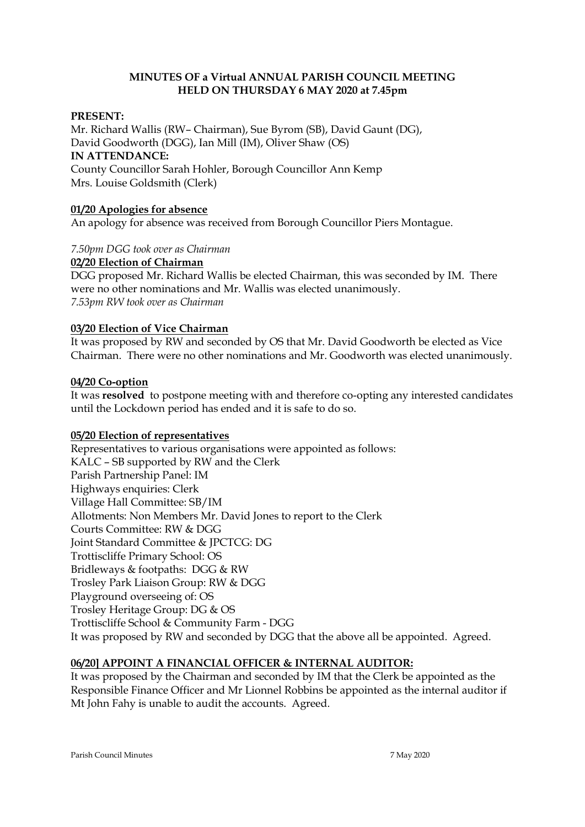## **MINUTES OF a Virtual ANNUAL PARISH COUNCIL MEETING HELD ON THURSDAY 6 MAY 2020 at 7.45pm**

## **PRESENT:**

Mr. Richard Wallis (RW– Chairman), Sue Byrom (SB), David Gaunt (DG), David Goodworth (DGG), Ian Mill (IM), Oliver Shaw (OS) **IN ATTENDANCE:**  County Councillor Sarah Hohler, Borough Councillor Ann Kemp Mrs. Louise Goldsmith (Clerk)

# **01/20 Apologies for absence**

An apology for absence was received from Borough Councillor Piers Montague.

#### *7.50pm DGG took over as Chairman*

#### **02/20 Election of Chairman**

DGG proposed Mr. Richard Wallis be elected Chairman, this was seconded by IM. There were no other nominations and Mr. Wallis was elected unanimously. *7.53pm RW took over as Chairman*

#### **03/20 Election of Vice Chairman**

It was proposed by RW and seconded by OS that Mr. David Goodworth be elected as Vice Chairman. There were no other nominations and Mr. Goodworth was elected unanimously.

#### **04/20 Co-option**

It was **resolved** to postpone meeting with and therefore co-opting any interested candidates until the Lockdown period has ended and it is safe to do so.

## **05/20 Election of representatives**

Representatives to various organisations were appointed as follows: KALC – SB supported by RW and the Clerk Parish Partnership Panel: IM Highways enquiries: Clerk Village Hall Committee: SB/IM Allotments: Non Members Mr. David Jones to report to the Clerk Courts Committee: RW & DGG Joint Standard Committee & JPCTCG: DG Trottiscliffe Primary School: OS Bridleways & footpaths: DGG & RW Trosley Park Liaison Group: RW & DGG Playground overseeing of: OS Trosley Heritage Group: DG & OS Trottiscliffe School & Community Farm - DGG It was proposed by RW and seconded by DGG that the above all be appointed. Agreed.

# **06/20] APPOINT A FINANCIAL OFFICER & INTERNAL AUDITOR:**

It was proposed by the Chairman and seconded by IM that the Clerk be appointed as the Responsible Finance Officer and Mr Lionnel Robbins be appointed as the internal auditor if Mt John Fahy is unable to audit the accounts. Agreed.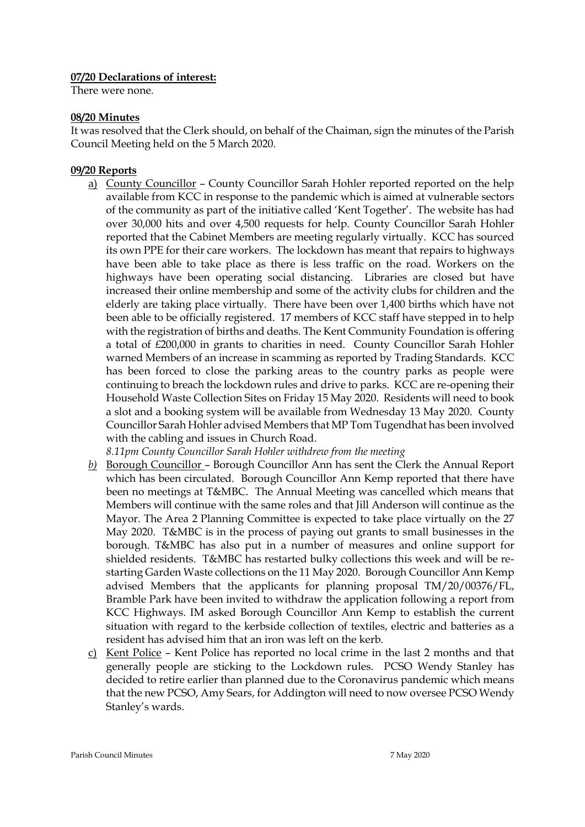#### **07/20 Declarations of interest:**

There were none.

#### **08/20 Minutes**

It was resolved that the Clerk should, on behalf of the Chaiman, sign the minutes of the Parish Council Meeting held on the 5 March 2020.

#### **09/20 Reports**

a) County Councillor – County Councillor Sarah Hohler reported reported on the help available from KCC in response to the pandemic which is aimed at vulnerable sectors of the community as part of the initiative called 'Kent Together'. The website has had over 30,000 hits and over 4,500 requests for help. County Councillor Sarah Hohler reported that the Cabinet Members are meeting regularly virtually. KCC has sourced its own PPE for their care workers. The lockdown has meant that repairs to highways have been able to take place as there is less traffic on the road. Workers on the highways have been operating social distancing. Libraries are closed but have increased their online membership and some of the activity clubs for children and the elderly are taking place virtually. There have been over 1,400 births which have not been able to be officially registered. 17 members of KCC staff have stepped in to help with the registration of births and deaths. The Kent Community Foundation is offering a total of £200,000 in grants to charities in need. County Councillor Sarah Hohler warned Members of an increase in scamming as reported by Trading Standards. KCC has been forced to close the parking areas to the country parks as people were continuing to breach the lockdown rules and drive to parks. KCC are re-opening their Household Waste Collection Sites on Friday 15 May 2020. Residents will need to book a slot and a booking system will be available from Wednesday 13 May 2020. County Councillor Sarah Hohler advised Members that MP Tom Tugendhat has been involved with the cabling and issues in Church Road.

*8.11pm County Councillor Sarah Hohler withdrew from the meeting*

- *b)* Borough Councillor Borough Councillor Ann has sent the Clerk the Annual Report which has been circulated. Borough Councillor Ann Kemp reported that there have been no meetings at T&MBC. The Annual Meeting was cancelled which means that Members will continue with the same roles and that Jill Anderson will continue as the Mayor. The Area 2 Planning Committee is expected to take place virtually on the 27 May 2020. T&MBC is in the process of paying out grants to small businesses in the borough. T&MBC has also put in a number of measures and online support for shielded residents. T&MBC has restarted bulky collections this week and will be restarting Garden Waste collections on the 11 May 2020. Borough Councillor Ann Kemp advised Members that the applicants for planning proposal TM/20/00376/FL, Bramble Park have been invited to withdraw the application following a report from KCC Highways. IM asked Borough Councillor Ann Kemp to establish the current situation with regard to the kerbside collection of textiles, electric and batteries as a resident has advised him that an iron was left on the kerb.
- c) Kent Police Kent Police has reported no local crime in the last 2 months and that generally people are sticking to the Lockdown rules. PCSO Wendy Stanley has decided to retire earlier than planned due to the Coronavirus pandemic which means that the new PCSO, Amy Sears, for Addington will need to now oversee PCSO Wendy Stanley's wards.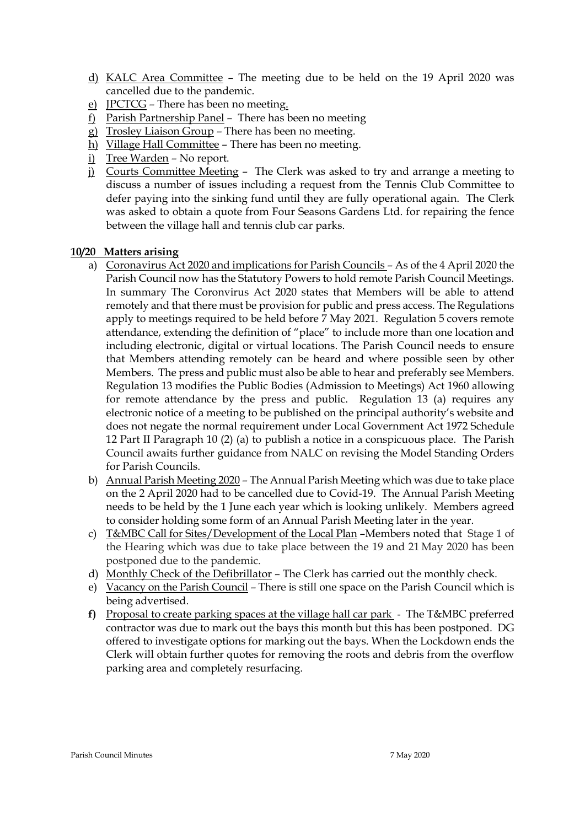- d) KALC Area Committee The meeting due to be held on the 19 April 2020 was cancelled due to the pandemic.
- e) JPCTCG There has been no meeting.
- f) Parish Partnership Panel There has been no meeting
- g) Trosley Liaison Group There has been no meeting.
- h) Village Hall Committee There has been no meeting.
- i) Tree Warden No report.
- j) Courts Committee Meeting The Clerk was asked to try and arrange a meeting to discuss a number of issues including a request from the Tennis Club Committee to defer paying into the sinking fund until they are fully operational again. The Clerk was asked to obtain a quote from Four Seasons Gardens Ltd. for repairing the fence between the village hall and tennis club car parks.

## **10/20 Matters arising**

- a) Coronavirus Act 2020 and implications for Parish Councils As of the 4 April 2020 the Parish Council now has the Statutory Powers to hold remote Parish Council Meetings. In summary The Coronvirus Act 2020 states that Members will be able to attend remotely and that there must be provision for public and press access. The Regulations apply to meetings required to be held before 7 May 2021. Regulation 5 covers remote attendance, extending the definition of "place" to include more than one location and including electronic, digital or virtual locations. The Parish Council needs to ensure that Members attending remotely can be heard and where possible seen by other Members. The press and public must also be able to hear and preferably see Members. Regulation 13 modifies the Public Bodies (Admission to Meetings) Act 1960 allowing for remote attendance by the press and public. Regulation 13 (a) requires any electronic notice of a meeting to be published on the principal authority's website and does not negate the normal requirement under Local Government Act 1972 Schedule 12 Part II Paragraph 10 (2) (a) to publish a notice in a conspicuous place. The Parish Council awaits further guidance from NALC on revising the Model Standing Orders for Parish Councils.
- b) Annual Parish Meeting 2020 The Annual Parish Meeting which was due to take place on the 2 April 2020 had to be cancelled due to Covid-19. The Annual Parish Meeting needs to be held by the 1 June each year which is looking unlikely. Members agreed to consider holding some form of an Annual Parish Meeting later in the year.
- c) T&MBC Call for Sites/Development of the Local Plan –Members noted that Stage 1 of the Hearing which was due to take place between the 19 and 21 May 2020 has been postponed due to the pandemic.
- d) Monthly Check of the Defibrillator The Clerk has carried out the monthly check.
- e) Vacancy on the Parish Council There is still one space on the Parish Council which is being advertised.
- **f)** Proposal to create parking spaces at the village hall car park The T&MBC preferred contractor was due to mark out the bays this month but this has been postponed. DG offered to investigate options for marking out the bays. When the Lockdown ends the Clerk will obtain further quotes for removing the roots and debris from the overflow parking area and completely resurfacing.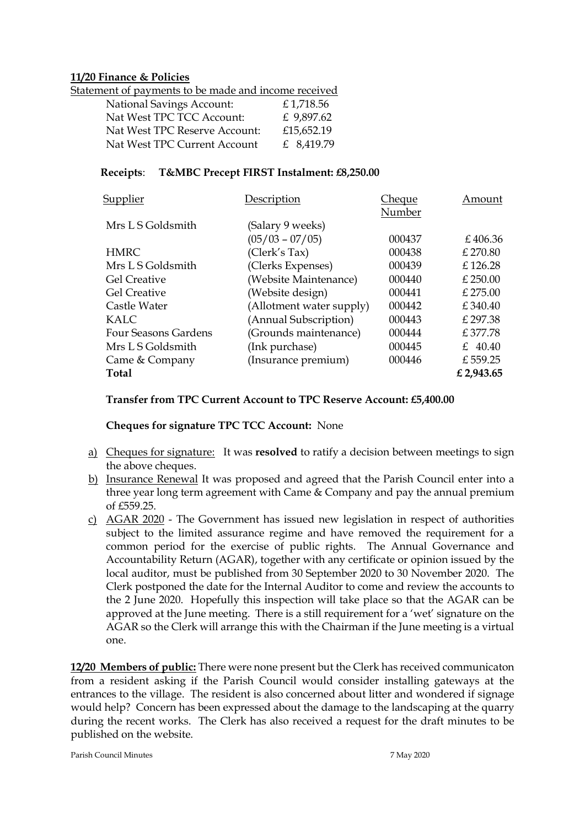## **11/20 Finance & Policies**

| Statement of payments to be made and income received |            |
|------------------------------------------------------|------------|
| <b>National Savings Account:</b>                     | £1,718.56  |
| Nat West TPC TCC Account:                            | £ 9,897.62 |
| Nat West TPC Reserve Account:                        | £15,652.19 |
| Nat West TPC Current Account                         | £ 8,419.79 |

# **Receipts**: **T&MBC Precept FIRST Instalment: £8,250.00**

| Supplier                    | Description              | Cheque | Amount     |
|-----------------------------|--------------------------|--------|------------|
|                             |                          | Number |            |
| Mrs L S Goldsmith           | (Salary 9 weeks)         |        |            |
|                             | $(05/03 - 07/05)$        | 000437 | £406.36    |
| <b>HMRC</b>                 | (Clerk's Tax)            | 000438 | $£$ 270.80 |
| Mrs L S Goldsmith           | (Clerks Expenses)        | 000439 | £126.28    |
| <b>Gel Creative</b>         | (Website Maintenance)    | 000440 | $£$ 250.00 |
| <b>Gel Creative</b>         | (Website design)         | 000441 | £ 275.00   |
| Castle Water                | (Allotment water supply) | 000442 | £340.40    |
| KALC.                       | (Annual Subscription)    | 000443 | £297.38    |
| <b>Four Seasons Gardens</b> | (Grounds maintenance)    | 000444 | £377.78    |
| Mrs L S Goldsmith           | (Ink purchase)           | 000445 | £ 40.40    |
| Came & Company              | (Insurance premium)      | 000446 | £559.25    |
| <b>Total</b>                |                          |        | £ 2,943.65 |
|                             |                          |        |            |

## **Transfer from TPC Current Account to TPC Reserve Account: £5,400.00**

**Cheques for signature TPC TCC Account:** None

- a) Cheques for signature: It was **resolved** to ratify a decision between meetings to sign the above cheques.
- b) Insurance Renewal It was proposed and agreed that the Parish Council enter into a three year long term agreement with Came & Company and pay the annual premium of £559.25.
- c) AGAR 2020 The Government has issued new legislation in respect of authorities subject to the limited assurance regime and have removed the requirement for a common period for the exercise of public rights. The Annual Governance and Accountability Return (AGAR), together with any certificate or opinion issued by the local auditor, must be published from 30 September 2020 to 30 November 2020. The Clerk postponed the date for the Internal Auditor to come and review the accounts to the 2 June 2020. Hopefully this inspection will take place so that the AGAR can be approved at the June meeting. There is a still requirement for a 'wet' signature on the AGAR so the Clerk will arrange this with the Chairman if the June meeting is a virtual one.

**12/20 Members of public:** There were none present but the Clerk has received communicaton from a resident asking if the Parish Council would consider installing gateways at the entrances to the village. The resident is also concerned about litter and wondered if signage would help? Concern has been expressed about the damage to the landscaping at the quarry during the recent works. The Clerk has also received a request for the draft minutes to be published on the website.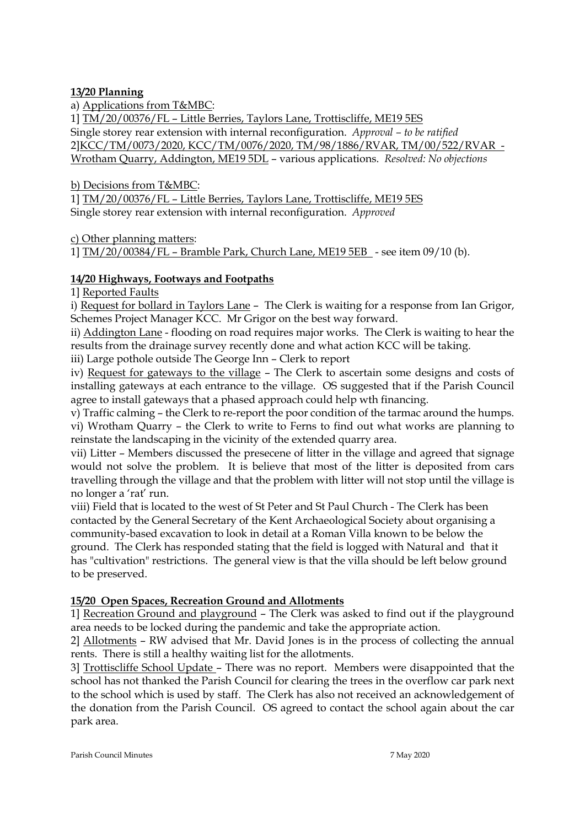# **13/20 Planning**

a) Applications from T&MBC:

1] TM/20/00376/FL – Little Berries, Taylors Lane, Trottiscliffe, ME19 5ES Single storey rear extension with internal reconfiguration. *Approval – to be ratified* 2]KCC/TM/0073/2020, KCC/TM/0076/2020, TM/98/1886/RVAR, TM/00/522/RVAR - Wrotham Quarry, Addington, ME19 5DL – various applications. *Resolved: No objections*

b) Decisions from T&MBC:

1] TM/20/00376/FL – Little Berries, Taylors Lane, Trottiscliffe, ME19 5ES Single storey rear extension with internal reconfiguration. *Approved*

c) Other planning matters:

1] TM/20/00384/FL – Bramble Park, Church Lane, ME19 5EB - see item 09/10 (b).

# **14/20 Highways, Footways and Footpaths**

1] Reported Faults

i) Request for bollard in Taylors Lane – The Clerk is waiting for a response from Ian Grigor, Schemes Project Manager KCC. Mr Grigor on the best way forward.

ii) Addington Lane - flooding on road requires major works. The Clerk is waiting to hear the results from the drainage survey recently done and what action KCC will be taking.

iii) Large pothole outside The George Inn – Clerk to report

iv) Request for gateways to the village – The Clerk to ascertain some designs and costs of installing gateways at each entrance to the village. OS suggested that if the Parish Council agree to install gateways that a phased approach could help wth financing.

v) Traffic calming – the Clerk to re-report the poor condition of the tarmac around the humps. vi) Wrotham Quarry – the Clerk to write to Ferns to find out what works are planning to reinstate the landscaping in the vicinity of the extended quarry area.

vii) Litter – Members discussed the presecene of litter in the village and agreed that signage would not solve the problem. It is believe that most of the litter is deposited from cars travelling through the village and that the problem with litter will not stop until the village is no longer a 'rat' run.

viii) Field that is located to the west of St Peter and St Paul Church - The Clerk has been contacted by the General Secretary of the Kent Archaeological Society about organising a community-based excavation to look in detail at a Roman Villa known to be below the ground. The Clerk has responded stating that the field is logged with Natural and that it has "cultivation" restrictions. The general view is that the villa should be left below ground to be preserved.

## **15/20 Open Spaces, Recreation Ground and Allotments**

1] Recreation Ground and playground – The Clerk was asked to find out if the playground area needs to be locked during the pandemic and take the appropriate action.

2] Allotments – RW advised that Mr. David Jones is in the process of collecting the annual rents. There is still a healthy waiting list for the allotments.

3] Trottiscliffe School Update – There was no report. Members were disappointed that the school has not thanked the Parish Council for clearing the trees in the overflow car park next to the school which is used by staff. The Clerk has also not received an acknowledgement of the donation from the Parish Council. OS agreed to contact the school again about the car park area.